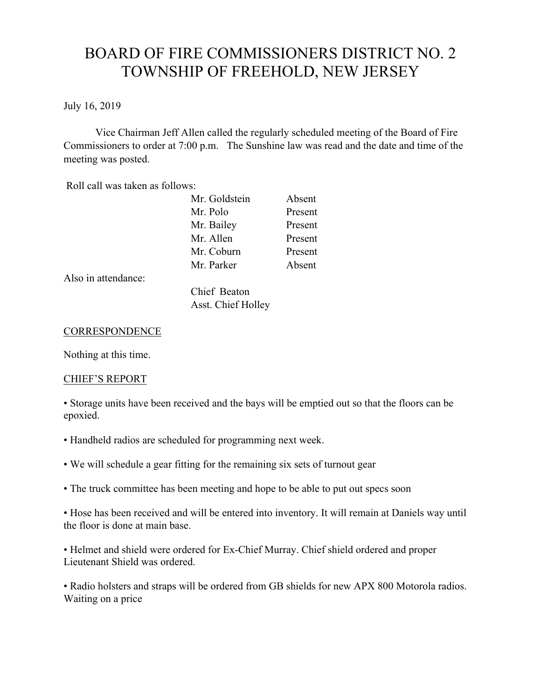# BOARD OF FIRE COMMISSIONERS DISTRICT NO. 2 TOWNSHIP OF FREEHOLD, NEW JERSEY

July 16, 2019

Vice Chairman Jeff Allen called the regularly scheduled meeting of the Board of Fire Commissioners to order at 7:00 p.m. The Sunshine law was read and the date and time of the meeting was posted.

Roll call was taken as follows:

| Mr. Goldstein | Absent  |
|---------------|---------|
| Mr. Polo      | Present |
| Mr. Bailey    | Present |
| Mr. Allen     | Present |
| Mr. Coburn    | Present |
| Mr. Parker    | Absent  |
|               |         |

Also in attendance:

Chief Beaton Asst. Chief Holley

## **CORRESPONDENCE**

Nothing at this time.

## CHIEF'S REPORT

• Storage units have been received and the bays will be emptied out so that the floors can be epoxied.

- Handheld radios are scheduled for programming next week.
- We will schedule a gear fitting for the remaining six sets of turnout gear
- The truck committee has been meeting and hope to be able to put out specs soon

• Hose has been received and will be entered into inventory. It will remain at Daniels way until the floor is done at main base.

• Helmet and shield were ordered for Ex-Chief Murray. Chief shield ordered and proper Lieutenant Shield was ordered.

• Radio holsters and straps will be ordered from GB shields for new APX 800 Motorola radios. Waiting on a price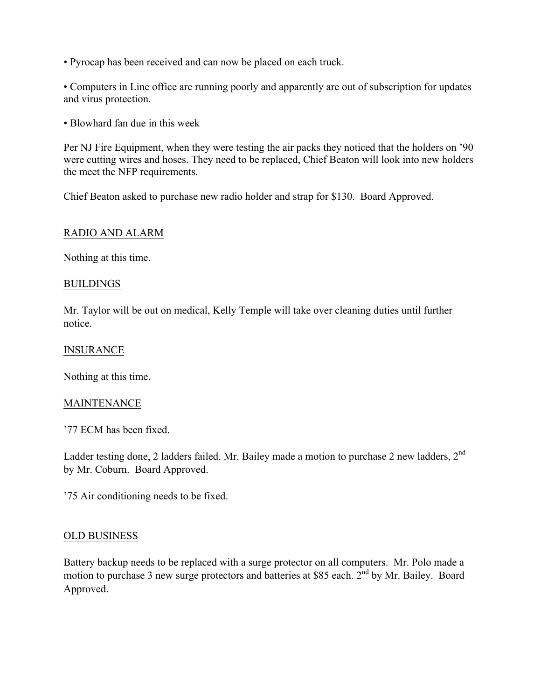• Pyrocap has been received and can now be placed on each truck.

• Computers in Line office are running poorly and apparently are out of subscription for updates and virus protection.

• Blowhard fan due in this week

Per NJ Fire Equipment, when they were testing the air packs they noticed that the holders on '90 were cutting wires and hoses. They need to be replaced, Chief Beaton will look into new holders the meet the NFP requirements.

Chief Beaton asked to purchase new radio holder and strap for \$130. Board Approved.

## RADIO AND ALARM

Nothing at this time.

### BUILDINGS

Mr. Taylor will be out on medical, Kelly Temple will take over cleaning duties until further notice.

#### INSURANCE

Nothing at this time.

#### MAINTENANCE

'77 ECM has been fixed.

Ladder testing done, 2 ladders failed. Mr. Bailey made a motion to purchase 2 new ladders,  $2<sup>nd</sup>$ by Mr. Coburn. Board Approved.

'75 Air conditioning needs to be fixed.

### OLD BUSINESS

Battery backup needs to be replaced with a surge protector on all computers. Mr. Polo made a motion to purchase 3 new surge protectors and batteries at \$85 each. 2<sup>nd</sup> by Mr. Bailey. Board Approved.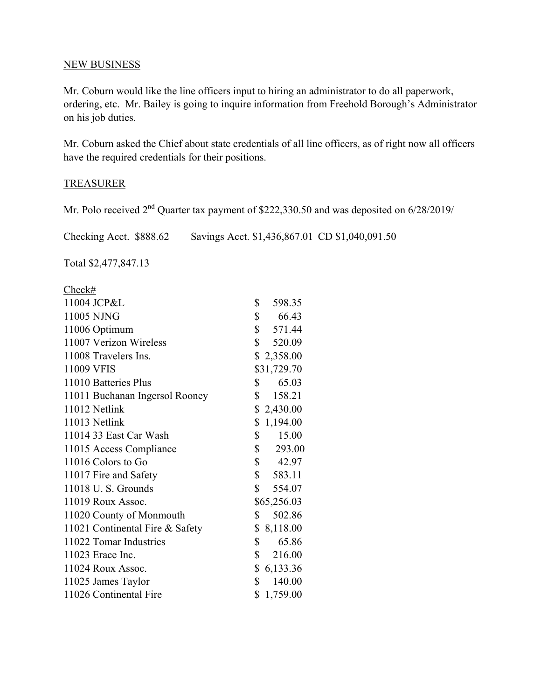## NEW BUSINESS

Mr. Coburn would like the line officers input to hiring an administrator to do all paperwork, ordering, etc. Mr. Bailey is going to inquire information from Freehold Borough's Administrator on his job duties.

Mr. Coburn asked the Chief about state credentials of all line officers, as of right now all officers have the required credentials for their positions.

## TREASURER

Mr. Polo received  $2<sup>nd</sup>$  Quarter tax payment of \$222,330.50 and was deposited on 6/28/2019/

Checking Acct. \$888.62 Savings Acct. \$1,436,867.01 CD \$1,040,091.50

| Check#                          |                |                        |
|---------------------------------|----------------|------------------------|
| 11004 JCP&L                     | $\mathbb{S}^-$ | 598.35                 |
| 11005 NJNG                      | \$             | 66.43                  |
| 11006 Optimum                   |                | \$571.44               |
| 11007 Verizon Wireless          | $\mathbb{S}$   | 520.09                 |
| 11008 Travelers Ins.            |                | \$2,358.00             |
| 11009 VFIS                      |                | \$31,729.70            |
| 11010 Batteries Plus            | \$             | 65.03                  |
| 11011 Buchanan Ingersol Rooney  | $\mathbb{S}$   | 158.21                 |
| 11012 Netlink                   |                | \$2,430.00             |
| 11013 Netlink                   |                | \$1,194.00             |
| 11014 33 East Car Wash          | \$             | 15.00                  |
| 11015 Access Compliance         |                | $\mathbb{S}$<br>293.00 |
| 11016 Colors to Go              |                | \$ 42.97               |
| 11017 Fire and Safety           |                | \$583.11               |
| 11018 U.S. Grounds              |                | \$554.07               |
| 11019 Roux Assoc.               |                | \$65,256.03            |
| 11020 County of Monmouth        | $\mathbb{S}$   | 502.86                 |
| 11021 Continental Fire & Safety |                | \$8,118.00             |
| 11022 Tomar Industries          | $\mathbb{S}$   | 65.86                  |
| 11023 Erace Inc.                |                | \$ 216.00              |
| 11024 Roux Assoc.               |                | \$6,133.36             |
| 11025 James Taylor              | $\mathbb{S}$   | 140.00                 |
| 11026 Continental Fire          |                | \$1,759.00             |